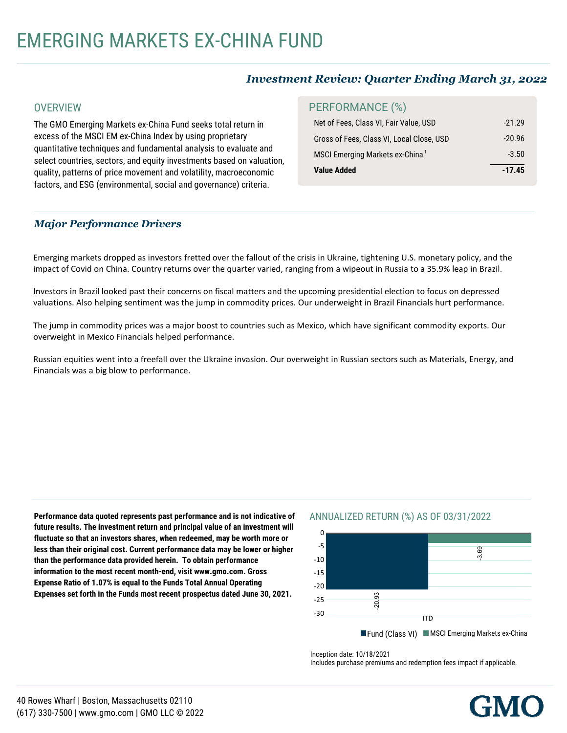# EMERGING MARKETS EX-CHINA FUND

## *Investment Review: Quarter Ending March 31, 2022*

#### **OVERVIEW**

The GMO Emerging Markets ex-China Fund seeks total return in excess of the MSCI EM ex-China Index by using proprietary quantitative techniques and fundamental analysis to evaluate and select countries, sectors, and equity investments based on valuation, quality, patterns of price movement and volatility, macroeconomic factors, and ESG (environmental, social and governance) criteria.

## PERFORMANCE (%)

| MSCI Emerging Markets ex-China <sup>1</sup><br>Value Added | $-3.50$<br>$-17.45$ |
|------------------------------------------------------------|---------------------|
| Gross of Fees, Class VI, Local Close, USD                  | $-20.96$            |
| Net of Fees, Class VI, Fair Value, USD                     | $-21.29$            |

### *Major Performance Drivers*

Emerging markets dropped as investors fretted over the fallout of the crisis in Ukraine, tightening U.S. monetary policy, and the impact of Covid on China. Country returns over the quarter varied, ranging from a wipeout in Russia to a 35.9% leap in Brazil.

Investors in Brazil looked past their concerns on fiscal matters and the upcoming presidential election to focus on depressed valuations. Also helping sentiment was the jump in commodity prices. Our underweight in Brazil Financials hurt performance.

The jump in commodity prices was a major boost to countries such as Mexico, which have significant commodity exports. Our overweight in Mexico Financials helped performance.

Russian equities went into a freefall over the Ukraine invasion. Our overweight in Russian sectors such as Materials, Energy, and Financials was a big blow to performance.

Performance data quoted represents past performance and is not indicative of future results. The investment return and principal value of an investment will fluctuate so that an investors shares, when redeemed, may be worth more or less than their original cost. Current performance data may be lower or higher information to the most recent month-end, visit www.gmo.com. Gross **Expense Ratio of 1.07% is equal to the Funds Total Annual Operating**  $\frac{1}{2}$ <br>Expanses est forth in the Eunds most recent proconstus dated lune  $20$ Expenses set forth in the Funds most recent prospectus dated June 30, 2021.<br> **than the performance data provided herein. To obtain performance**

### ANNUALIZED RETURN (%) AS OF 03/31/2022



Inception date: 10/18/2021

Includes purchase premiums and redemption fees impact if applicable.